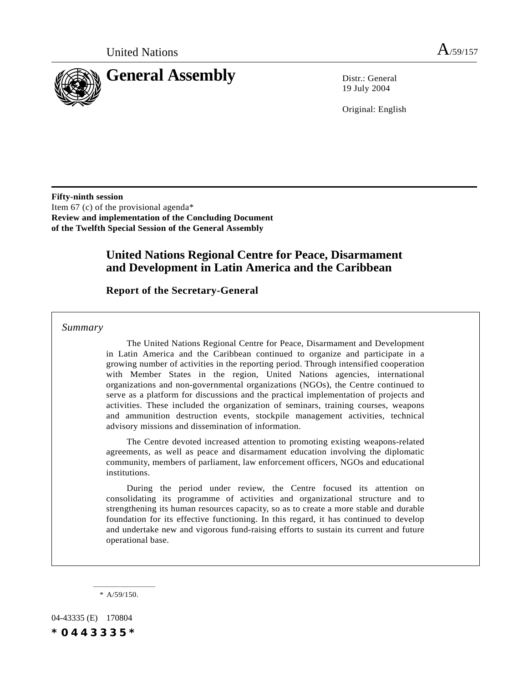

19 July 2004

Original: English

**Fifty-ninth session** Item 67 (c) of the provisional agenda\* **Review and implementation of the Concluding Document of the Twelfth Special Session of the General Assembly**

# **United Nations Regional Centre for Peace, Disarmament and Development in Latin America and the Caribbean**

## **Report of the Secretary-General**

*Summary*

The United Nations Regional Centre for Peace, Disarmament and Development in Latin America and the Caribbean continued to organize and participate in a growing number of activities in the reporting period. Through intensified cooperation with Member States in the region, United Nations agencies, international organizations and non-governmental organizations (NGOs), the Centre continued to serve as a platform for discussions and the practical implementation of projects and activities. These included the organization of seminars, training courses, weapons and ammunition destruction events, stockpile management activities, technical advisory missions and dissemination of information.

The Centre devoted increased attention to promoting existing weapons-related agreements, as well as peace and disarmament education involving the diplomatic community, members of parliament, law enforcement officers, NGOs and educational institutions.

During the period under review, the Centre focused its attention on consolidating its programme of activities and organizational structure and to strengthening its human resources capacity, so as to create a more stable and durable foundation for its effective functioning. In this regard, it has continued to develop and undertake new and vigorous fund-raising efforts to sustain its current and future operational base.

\* A/59/150.

04-43335 (E) 170804 *\*0443335\**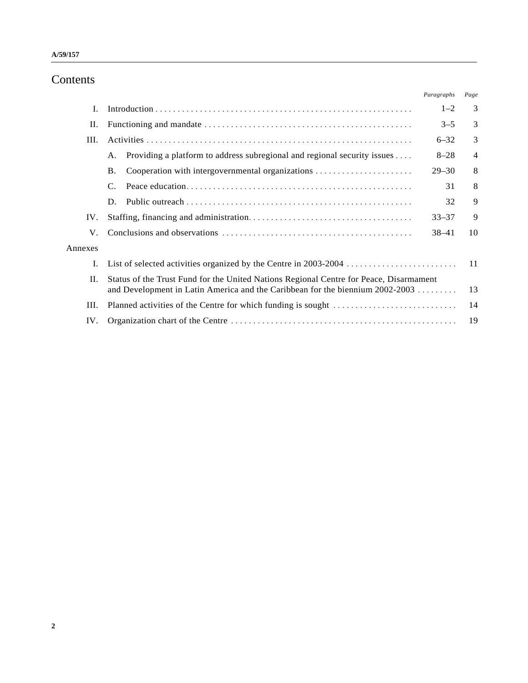# Contents

|         |                                                                                                                                                                         | Paragraphs | Page           |
|---------|-------------------------------------------------------------------------------------------------------------------------------------------------------------------------|------------|----------------|
| L       |                                                                                                                                                                         | $1 - 2$    | 3              |
| П.      |                                                                                                                                                                         | $3 - 5$    | 3              |
| III.    |                                                                                                                                                                         | $6 - 32$   | 3              |
|         | Providing a platform to address subregional and regional security issues<br>A.                                                                                          | $8 - 28$   | $\overline{4}$ |
|         | <b>B.</b>                                                                                                                                                               | $29 - 30$  | 8              |
|         | C.                                                                                                                                                                      | 31         | 8              |
|         | D.                                                                                                                                                                      | 32         | 9              |
| IV.     |                                                                                                                                                                         | $33 - 37$  | 9              |
| V.      |                                                                                                                                                                         | $38 - 41$  | 10             |
| Annexes |                                                                                                                                                                         |            |                |
| I.      |                                                                                                                                                                         |            | 11             |
| II.     | Status of the Trust Fund for the United Nations Regional Centre for Peace, Disarmament<br>and Development in Latin America and the Caribbean for the biennium 2002-2003 |            | 13             |
| III.    |                                                                                                                                                                         |            | 14             |
| IV.     |                                                                                                                                                                         |            | 19             |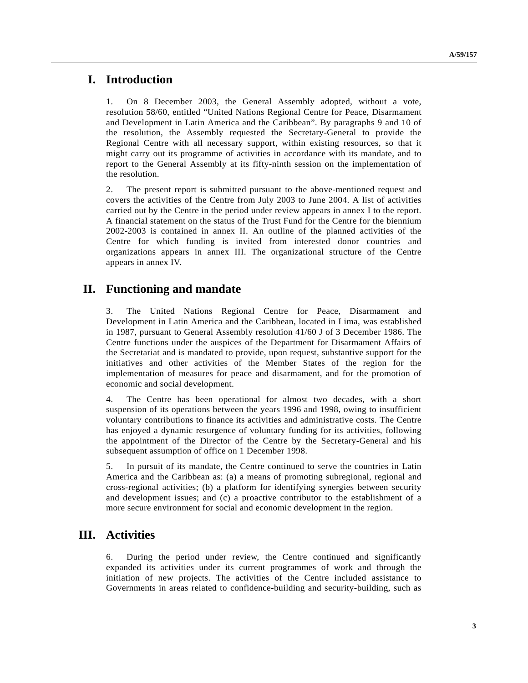## **I. Introduction**

1. On 8 December 2003, the General Assembly adopted, without a vote, resolution 58/60, entitled "United Nations Regional Centre for Peace, Disarmament and Development in Latin America and the Caribbean". By paragraphs 9 and 10 of the resolution, the Assembly requested the Secretary-General to provide the Regional Centre with all necessary support, within existing resources, so that it might carry out its programme of activities in accordance with its mandate, and to report to the General Assembly at its fifty-ninth session on the implementation of the resolution.

2. The present report is submitted pursuant to the above-mentioned request and covers the activities of the Centre from July 2003 to June 2004. A list of activities carried out by the Centre in the period under review appears in annex I to the report. A financial statement on the status of the Trust Fund for the Centre for the biennium 2002-2003 is contained in annex II. An outline of the planned activities of the Centre for which funding is invited from interested donor countries and organizations appears in annex III. The organizational structure of the Centre appears in annex IV.

# **II. Functioning and mandate**

3. The United Nations Regional Centre for Peace, Disarmament and Development in Latin America and the Caribbean, located in Lima, was established in 1987, pursuant to General Assembly resolution 41/60 J of 3 December 1986. The Centre functions under the auspices of the Department for Disarmament Affairs of the Secretariat and is mandated to provide, upon request, substantive support for the initiatives and other activities of the Member States of the region for the implementation of measures for peace and disarmament, and for the promotion of economic and social development.

4. The Centre has been operational for almost two decades, with a short suspension of its operations between the years 1996 and 1998, owing to insufficient voluntary contributions to finance its activities and administrative costs. The Centre has enjoyed a dynamic resurgence of voluntary funding for its activities, following the appointment of the Director of the Centre by the Secretary-General and his subsequent assumption of office on 1 December 1998.

5. In pursuit of its mandate, the Centre continued to serve the countries in Latin America and the Caribbean as: (a) a means of promoting subregional, regional and cross-regional activities; (b) a platform for identifying synergies between security and development issues; and (c) a proactive contributor to the establishment of a more secure environment for social and economic development in the region.

# **III. Activities**

6. During the period under review, the Centre continued and significantly expanded its activities under its current programmes of work and through the initiation of new projects. The activities of the Centre included assistance to Governments in areas related to confidence-building and security-building, such as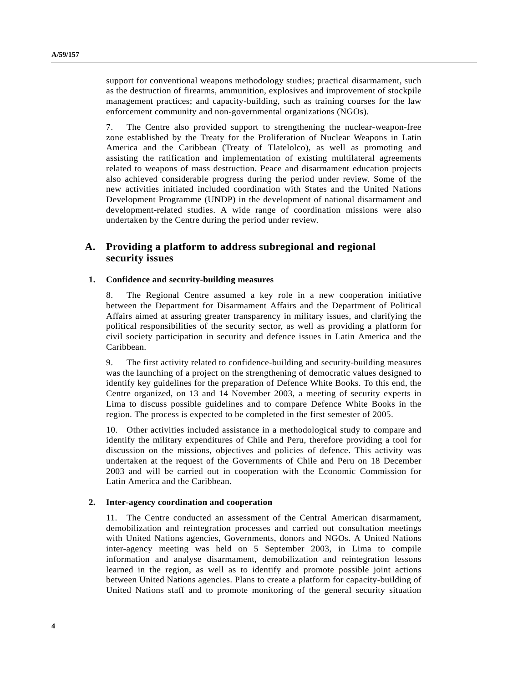support for conventional weapons methodology studies; practical disarmament, such as the destruction of firearms, ammunition, explosives and improvement of stockpile management practices; and capacity-building, such as training courses for the law enforcement community and non-governmental organizations (NGOs).

7. The Centre also provided support to strengthening the nuclear-weapon-free zone established by the Treaty for the Proliferation of Nuclear Weapons in Latin America and the Caribbean (Treaty of Tlatelolco), as well as promoting and assisting the ratification and implementation of existing multilateral agreements related to weapons of mass destruction. Peace and disarmament education projects also achieved considerable progress during the period under review. Some of the new activities initiated included coordination with States and the United Nations Development Programme (UNDP) in the development of national disarmament and development-related studies. A wide range of coordination missions were also undertaken by the Centre during the period under review.

## **A. Providing a platform to address subregional and regional security issues**

### **1. Confidence and security-building measures**

8. The Regional Centre assumed a key role in a new cooperation initiative between the Department for Disarmament Affairs and the Department of Political Affairs aimed at assuring greater transparency in military issues, and clarifying the political responsibilities of the security sector, as well as providing a platform for civil society participation in security and defence issues in Latin America and the Caribbean.

9. The first activity related to confidence-building and security-building measures was the launching of a project on the strengthening of democratic values designed to identify key guidelines for the preparation of Defence White Books. To this end, the Centre organized, on 13 and 14 November 2003, a meeting of security experts in Lima to discuss possible guidelines and to compare Defence White Books in the region. The process is expected to be completed in the first semester of 2005.

10. Other activities included assistance in a methodological study to compare and identify the military expenditures of Chile and Peru, therefore providing a tool for discussion on the missions, objectives and policies of defence. This activity was undertaken at the request of the Governments of Chile and Peru on 18 December 2003 and will be carried out in cooperation with the Economic Commission for Latin America and the Caribbean.

### **2. Inter-agency coordination and cooperation**

11. The Centre conducted an assessment of the Central American disarmament, demobilization and reintegration processes and carried out consultation meetings with United Nations agencies, Governments, donors and NGOs. A United Nations inter-agency meeting was held on 5 September 2003, in Lima to compile information and analyse disarmament, demobilization and reintegration lessons learned in the region, as well as to identify and promote possible joint actions between United Nations agencies. Plans to create a platform for capacity-building of United Nations staff and to promote monitoring of the general security situation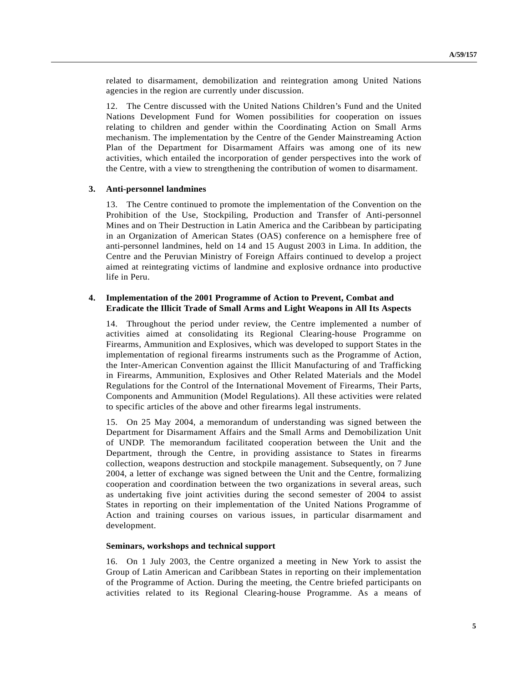related to disarmament, demobilization and reintegration among United Nations agencies in the region are currently under discussion.

12. The Centre discussed with the United Nations Children's Fund and the United Nations Development Fund for Women possibilities for cooperation on issues relating to children and gender within the Coordinating Action on Small Arms mechanism. The implementation by the Centre of the Gender Mainstreaming Action Plan of the Department for Disarmament Affairs was among one of its new activities, which entailed the incorporation of gender perspectives into the work of the Centre, with a view to strengthening the contribution of women to disarmament.

### **3. Anti-personnel landmines**

13. The Centre continued to promote the implementation of the Convention on the Prohibition of the Use, Stockpiling, Production and Transfer of Anti-personnel Mines and on Their Destruction in Latin America and the Caribbean by participating in an Organization of American States (OAS) conference on a hemisphere free of anti-personnel landmines, held on 14 and 15 August 2003 in Lima. In addition, the Centre and the Peruvian Ministry of Foreign Affairs continued to develop a project aimed at reintegrating victims of landmine and explosive ordnance into productive life in Peru.

### **4. Implementation of the 2001 Programme of Action to Prevent, Combat and Eradicate the Illicit Trade of Small Arms and Light Weapons in All Its Aspects**

14. Throughout the period under review, the Centre implemented a number of activities aimed at consolidating its Regional Clearing-house Programme on Firearms, Ammunition and Explosives, which was developed to support States in the implementation of regional firearms instruments such as the Programme of Action, the Inter-American Convention against the Illicit Manufacturing of and Trafficking in Firearms, Ammunition, Explosives and Other Related Materials and the Model Regulations for the Control of the International Movement of Firearms, Their Parts, Components and Ammunition (Model Regulations). All these activities were related to specific articles of the above and other firearms legal instruments.

15. On 25 May 2004, a memorandum of understanding was signed between the Department for Disarmament Affairs and the Small Arms and Demobilization Unit of UNDP. The memorandum facilitated cooperation between the Unit and the Department, through the Centre, in providing assistance to States in firearms collection, weapons destruction and stockpile management. Subsequently, on 7 June 2004, a letter of exchange was signed between the Unit and the Centre, formalizing cooperation and coordination between the two organizations in several areas, such as undertaking five joint activities during the second semester of 2004 to assist States in reporting on their implementation of the United Nations Programme of Action and training courses on various issues, in particular disarmament and development.

### **Seminars, workshops and technical support**

16. On 1 July 2003, the Centre organized a meeting in New York to assist the Group of Latin American and Caribbean States in reporting on their implementation of the Programme of Action. During the meeting, the Centre briefed participants on activities related to its Regional Clearing-house Programme. As a means of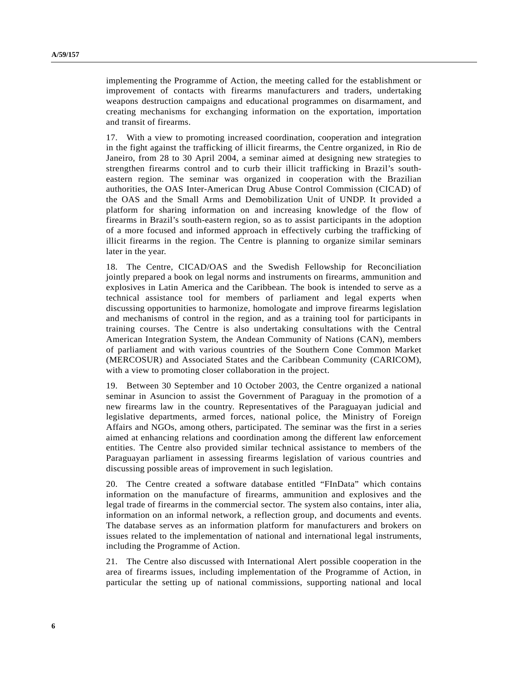implementing the Programme of Action, the meeting called for the establishment or improvement of contacts with firearms manufacturers and traders, undertaking weapons destruction campaigns and educational programmes on disarmament, and creating mechanisms for exchanging information on the exportation, importation and transit of firearms.

17. With a view to promoting increased coordination, cooperation and integration in the fight against the trafficking of illicit firearms, the Centre organized, in Rio de Janeiro, from 28 to 30 April 2004, a seminar aimed at designing new strategies to strengthen firearms control and to curb their illicit trafficking in Brazil's southeastern region. The seminar was organized in cooperation with the Brazilian authorities, the OAS Inter-American Drug Abuse Control Commission (CICAD) of the OAS and the Small Arms and Demobilization Unit of UNDP. It provided a platform for sharing information on and increasing knowledge of the flow of firearms in Brazil's south-eastern region, so as to assist participants in the adoption of a more focused and informed approach in effectively curbing the trafficking of illicit firearms in the region. The Centre is planning to organize similar seminars later in the year.

18. The Centre, CICAD/OAS and the Swedish Fellowship for Reconciliation jointly prepared a book on legal norms and instruments on firearms, ammunition and explosives in Latin America and the Caribbean. The book is intended to serve as a technical assistance tool for members of parliament and legal experts when discussing opportunities to harmonize, homologate and improve firearms legislation and mechanisms of control in the region, and as a training tool for participants in training courses. The Centre is also undertaking consultations with the Central American Integration System, the Andean Community of Nations (CAN), members of parliament and with various countries of the Southern Cone Common Market (MERCOSUR) and Associated States and the Caribbean Community (CARICOM), with a view to promoting closer collaboration in the project.

19. Between 30 September and 10 October 2003, the Centre organized a national seminar in Asuncion to assist the Government of Paraguay in the promotion of a new firearms law in the country. Representatives of the Paraguayan judicial and legislative departments, armed forces, national police, the Ministry of Foreign Affairs and NGOs, among others, participated. The seminar was the first in a series aimed at enhancing relations and coordination among the different law enforcement entities. The Centre also provided similar technical assistance to members of the Paraguayan parliament in assessing firearms legislation of various countries and discussing possible areas of improvement in such legislation.

20. The Centre created a software database entitled "FInData" which contains information on the manufacture of firearms, ammunition and explosives and the legal trade of firearms in the commercial sector. The system also contains, inter alia, information on an informal network, a reflection group, and documents and events. The database serves as an information platform for manufacturers and brokers on issues related to the implementation of national and international legal instruments, including the Programme of Action.

21. The Centre also discussed with International Alert possible cooperation in the area of firearms issues, including implementation of the Programme of Action, in particular the setting up of national commissions, supporting national and local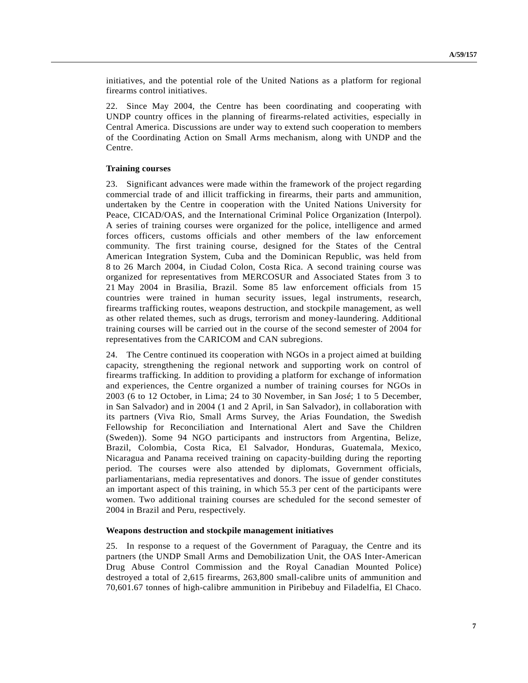initiatives, and the potential role of the United Nations as a platform for regional firearms control initiatives.

22. Since May 2004, the Centre has been coordinating and cooperating with UNDP country offices in the planning of firearms-related activities, especially in Central America. Discussions are under way to extend such cooperation to members of the Coordinating Action on Small Arms mechanism, along with UNDP and the Centre.

### **Training courses**

23. Significant advances were made within the framework of the project regarding commercial trade of and illicit trafficking in firearms, their parts and ammunition, undertaken by the Centre in cooperation with the United Nations University for Peace, CICAD/OAS, and the International Criminal Police Organization (Interpol). A series of training courses were organized for the police, intelligence and armed forces officers, customs officials and other members of the law enforcement community. The first training course, designed for the States of the Central American Integration System, Cuba and the Dominican Republic, was held from 8 to 26 March 2004, in Ciudad Colon, Costa Rica. A second training course was organized for representatives from MERCOSUR and Associated States from 3 to 21 May 2004 in Brasilia, Brazil. Some 85 law enforcement officials from 15 countries were trained in human security issues, legal instruments, research, firearms trafficking routes, weapons destruction, and stockpile management, as well as other related themes, such as drugs, terrorism and money-laundering. Additional training courses will be carried out in the course of the second semester of 2004 for representatives from the CARICOM and CAN subregions.

24. The Centre continued its cooperation with NGOs in a project aimed at building capacity, strengthening the regional network and supporting work on control of firearms trafficking. In addition to providing a platform for exchange of information and experiences, the Centre organized a number of training courses for NGOs in 2003 (6 to 12 October, in Lima; 24 to 30 November, in San José; 1 to 5 December, in San Salvador) and in 2004 (1 and 2 April, in San Salvador), in collaboration with its partners (Viva Rio, Small Arms Survey, the Arias Foundation, the Swedish Fellowship for Reconciliation and International Alert and Save the Children (Sweden)). Some 94 NGO participants and instructors from Argentina, Belize, Brazil, Colombia, Costa Rica, El Salvador, Honduras, Guatemala, Mexico, Nicaragua and Panama received training on capacity-building during the reporting period. The courses were also attended by diplomats, Government officials, parliamentarians, media representatives and donors. The issue of gender constitutes an important aspect of this training, in which 55.3 per cent of the participants were women. Two additional training courses are scheduled for the second semester of 2004 in Brazil and Peru, respectively.

### **Weapons destruction and stockpile management initiatives**

25. In response to a request of the Government of Paraguay, the Centre and its partners (the UNDP Small Arms and Demobilization Unit, the OAS Inter-American Drug Abuse Control Commission and the Royal Canadian Mounted Police) destroyed a total of 2,615 firearms, 263,800 small-calibre units of ammunition and 70,601.67 tonnes of high-calibre ammunition in Piribebuy and Filadelfia, El Chaco.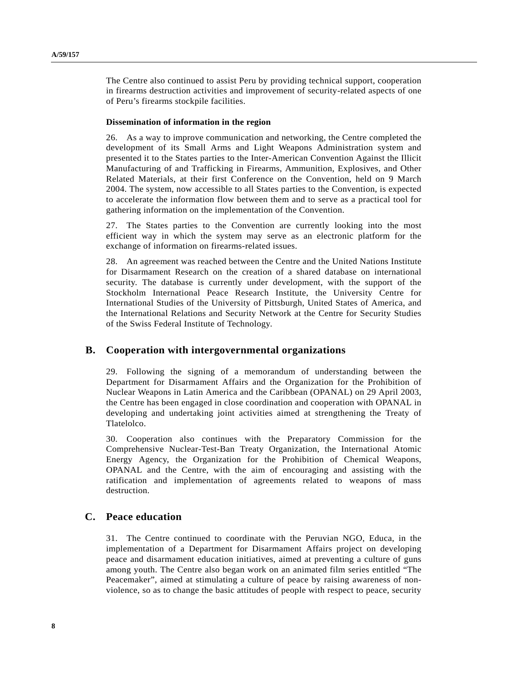The Centre also continued to assist Peru by providing technical support, cooperation in firearms destruction activities and improvement of security-related aspects of one of Peru's firearms stockpile facilities.

### **Dissemination of information in the region**

26. As a way to improve communication and networking, the Centre completed the development of its Small Arms and Light Weapons Administration system and presented it to the States parties to the Inter-American Convention Against the Illicit Manufacturing of and Trafficking in Firearms, Ammunition, Explosives, and Other Related Materials, at their first Conference on the Convention, held on 9 March 2004. The system, now accessible to all States parties to the Convention, is expected to accelerate the information flow between them and to serve as a practical tool for gathering information on the implementation of the Convention.

27. The States parties to the Convention are currently looking into the most efficient way in which the system may serve as an electronic platform for the exchange of information on firearms-related issues.

28. An agreement was reached between the Centre and the United Nations Institute for Disarmament Research on the creation of a shared database on international security. The database is currently under development, with the support of the Stockholm International Peace Research Institute, the University Centre for International Studies of the University of Pittsburgh, United States of America, and the International Relations and Security Network at the Centre for Security Studies of the Swiss Federal Institute of Technology.

## **B. Cooperation with intergovernmental organizations**

29. Following the signing of a memorandum of understanding between the Department for Disarmament Affairs and the Organization for the Prohibition of Nuclear Weapons in Latin America and the Caribbean (OPANAL) on 29 April 2003, the Centre has been engaged in close coordination and cooperation with OPANAL in developing and undertaking joint activities aimed at strengthening the Treaty of Tlatelolco.

30. Cooperation also continues with the Preparatory Commission for the Comprehensive Nuclear-Test-Ban Treaty Organization, the International Atomic Energy Agency, the Organization for the Prohibition of Chemical Weapons, OPANAL and the Centre, with the aim of encouraging and assisting with the ratification and implementation of agreements related to weapons of mass destruction.

## **C. Peace education**

31. The Centre continued to coordinate with the Peruvian NGO, Educa, in the implementation of a Department for Disarmament Affairs project on developing peace and disarmament education initiatives, aimed at preventing a culture of guns among youth. The Centre also began work on an animated film series entitled "The Peacemaker", aimed at stimulating a culture of peace by raising awareness of nonviolence, so as to change the basic attitudes of people with respect to peace, security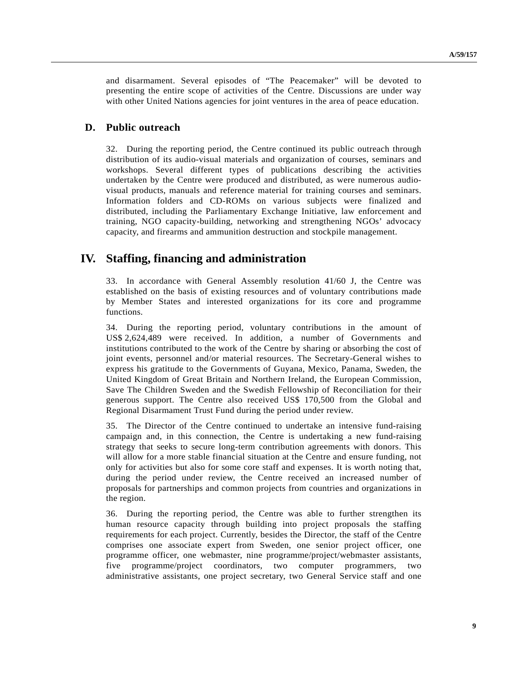and disarmament. Several episodes of "The Peacemaker" will be devoted to presenting the entire scope of activities of the Centre. Discussions are under way with other United Nations agencies for joint ventures in the area of peace education.

## **D. Public outreach**

32. During the reporting period, the Centre continued its public outreach through distribution of its audio-visual materials and organization of courses, seminars and workshops. Several different types of publications describing the activities undertaken by the Centre were produced and distributed, as were numerous audiovisual products, manuals and reference material for training courses and seminars. Information folders and CD-ROMs on various subjects were finalized and distributed, including the Parliamentary Exchange Initiative, law enforcement and training, NGO capacity-building, networking and strengthening NGOs' advocacy capacity, and firearms and ammunition destruction and stockpile management.

## **IV. Staffing, financing and administration**

33. In accordance with General Assembly resolution 41/60 J, the Centre was established on the basis of existing resources and of voluntary contributions made by Member States and interested organizations for its core and programme functions.

34. During the reporting period, voluntary contributions in the amount of US\$ 2,624,489 were received. In addition, a number of Governments and institutions contributed to the work of the Centre by sharing or absorbing the cost of joint events, personnel and/or material resources. The Secretary-General wishes to express his gratitude to the Governments of Guyana, Mexico, Panama, Sweden, the United Kingdom of Great Britain and Northern Ireland, the European Commission, Save The Children Sweden and the Swedish Fellowship of Reconciliation for their generous support. The Centre also received US\$ 170,500 from the Global and Regional Disarmament Trust Fund during the period under review.

35. The Director of the Centre continued to undertake an intensive fund-raising campaign and, in this connection, the Centre is undertaking a new fund-raising strategy that seeks to secure long-term contribution agreements with donors. This will allow for a more stable financial situation at the Centre and ensure funding, not only for activities but also for some core staff and expenses. It is worth noting that, during the period under review, the Centre received an increased number of proposals for partnerships and common projects from countries and organizations in the region.

36. During the reporting period, the Centre was able to further strengthen its human resource capacity through building into project proposals the staffing requirements for each project. Currently, besides the Director, the staff of the Centre comprises one associate expert from Sweden, one senior project officer, one programme officer, one webmaster, nine programme/project/webmaster assistants, five programme/project coordinators, two computer programmers, two administrative assistants, one project secretary, two General Service staff and one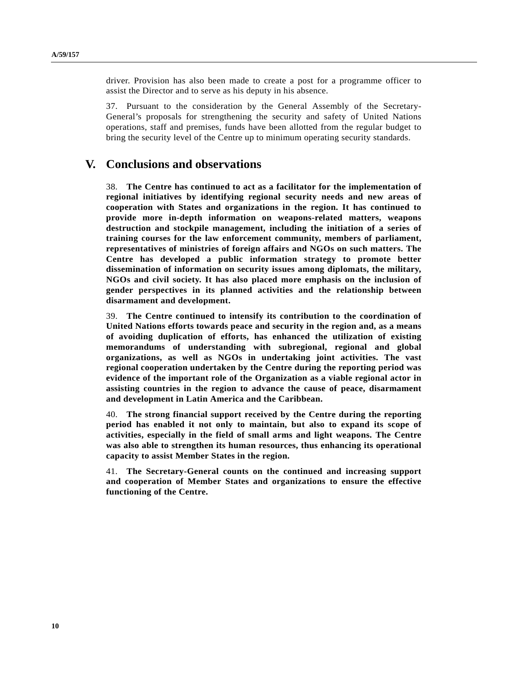driver. Provision has also been made to create a post for a programme officer to assist the Director and to serve as his deputy in his absence.

37. Pursuant to the consideration by the General Assembly of the Secretary-General's proposals for strengthening the security and safety of United Nations operations, staff and premises, funds have been allotted from the regular budget to bring the security level of the Centre up to minimum operating security standards.

# **V. Conclusions and observations**

38. **The Centre has continued to act as a facilitator for the implementation of regional initiatives by identifying regional security needs and new areas of cooperation with States and organizations in the region. It has continued to provide more in-depth information on weapons-related matters, weapons destruction and stockpile management, including the initiation of a series of training courses for the law enforcement community, members of parliament, representatives of ministries of foreign affairs and NGOs on such matters. The Centre has developed a public information strategy to promote better dissemination of information on security issues among diplomats, the military, NGOs and civil society. It has also placed more emphasis on the inclusion of gender perspectives in its planned activities and the relationship between disarmament and development.**

39. **The Centre continued to intensify its contribution to the coordination of United Nations efforts towards peace and security in the region and, as a means of avoiding duplication of efforts, has enhanced the utilization of existing memorandums of understanding with subregional, regional and global organizations, as well as NGOs in undertaking joint activities. The vast regional cooperation undertaken by the Centre during the reporting period was evidence of the important role of the Organization as a viable regional actor in assisting countries in the region to advance the cause of peace, disarmament and development in Latin America and the Caribbean.**

40. **The strong financial support received by the Centre during the reporting period has enabled it not only to maintain, but also to expand its scope of activities, especially in the field of small arms and light weapons. The Centre was also able to strengthen its human resources, thus enhancing its operational capacity to assist Member States in the region.**

41. **The Secretary-General counts on the continued and increasing support and cooperation of Member States and organizations to ensure the effective functioning of the Centre.**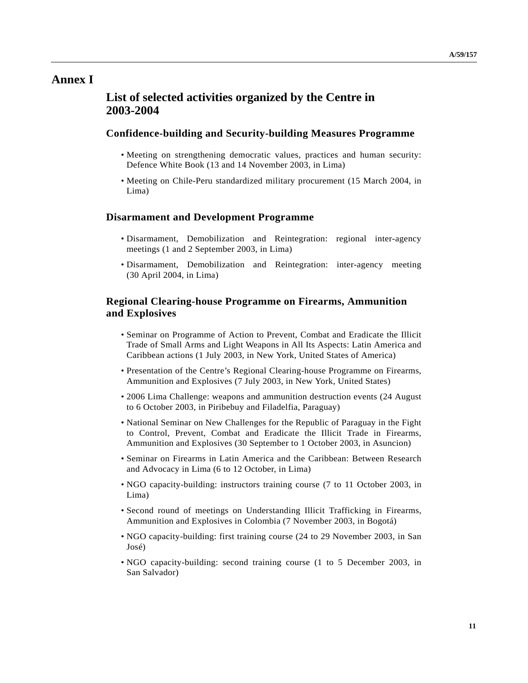# **Annex I**

# **List of selected activities organized by the Centre in 2003-2004**

## **Confidence-building and Security-building Measures Programme**

- Meeting on strengthening democratic values, practices and human security: Defence White Book (13 and 14 November 2003, in Lima)
- Meeting on Chile-Peru standardized military procurement (15 March 2004, in Lima)

### **Disarmament and Development Programme**

- Disarmament, Demobilization and Reintegration: regional inter-agency meetings (1 and 2 September 2003, in Lima)
- Disarmament, Demobilization and Reintegration: inter-agency meeting (30 April 2004, in Lima)

## **Regional Clearing-house Programme on Firearms, Ammunition and Explosives**

- Seminar on Programme of Action to Prevent, Combat and Eradicate the Illicit Trade of Small Arms and Light Weapons in All Its Aspects: Latin America and Caribbean actions (1 July 2003, in New York, United States of America)
- Presentation of the Centre's Regional Clearing-house Programme on Firearms, Ammunition and Explosives (7 July 2003, in New York, United States)
- 2006 Lima Challenge: weapons and ammunition destruction events (24 August to 6 October 2003, in Piribebuy and Filadelfia, Paraguay)
- National Seminar on New Challenges for the Republic of Paraguay in the Fight to Control, Prevent, Combat and Eradicate the Illicit Trade in Firearms, Ammunition and Explosives (30 September to 1 October 2003, in Asuncion)
- Seminar on Firearms in Latin America and the Caribbean: Between Research and Advocacy in Lima (6 to 12 October, in Lima)
- NGO capacity-building: instructors training course (7 to 11 October 2003, in Lima)
- Second round of meetings on Understanding Illicit Trafficking in Firearms, Ammunition and Explosives in Colombia (7 November 2003, in Bogotá)
- NGO capacity-building: first training course (24 to 29 November 2003, in San José)
- NGO capacity-building: second training course (1 to 5 December 2003, in San Salvador)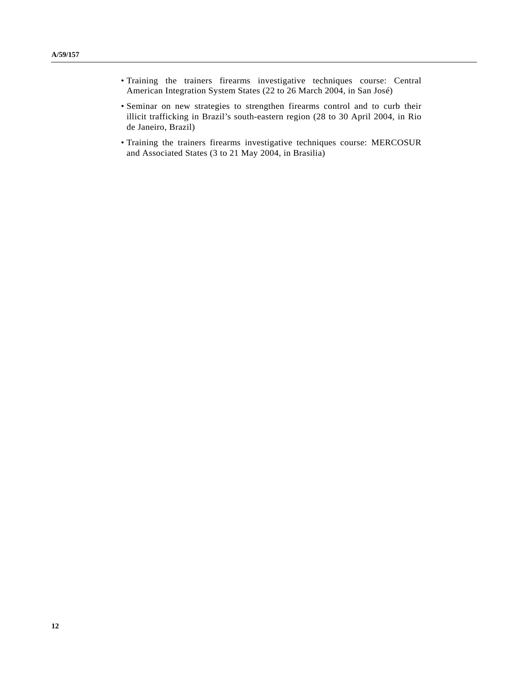- Training the trainers firearms investigative techniques course: Central American Integration System States (22 to 26 March 2004, in San José)
- Seminar on new strategies to strengthen firearms control and to curb their illicit trafficking in Brazil's south-eastern region (28 to 30 April 2004, in Rio de Janeiro, Brazil)
- Training the trainers firearms investigative techniques course: MERCOSUR and Associated States (3 to 21 May 2004, in Brasilia)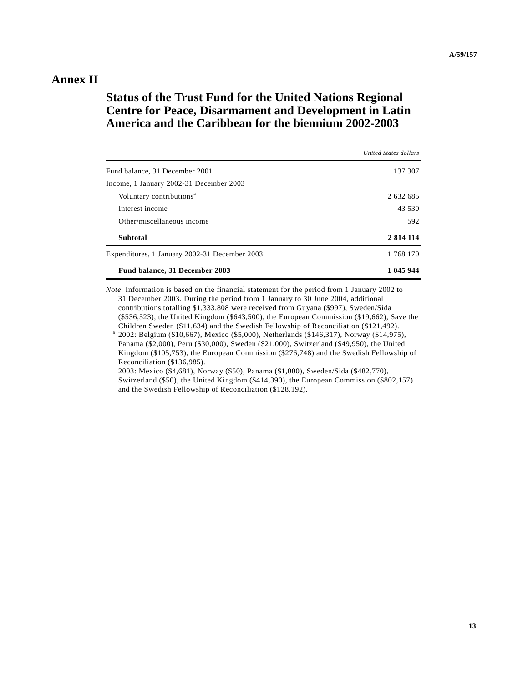# **Annex II**

# **Status of the Trust Fund for the United Nations Regional Centre for Peace, Disarmament and Development in Latin America and the Caribbean for the biennium 2002-2003**

|                                               | <b>United States dollars</b> |
|-----------------------------------------------|------------------------------|
| Fund balance, 31 December 2001                | 137 307                      |
| Income, 1 January 2002-31 December 2003       |                              |
| Voluntary contributions <sup>a</sup>          | 2 632 685                    |
| Interest income                               | 43.530                       |
| Other/miscellaneous income                    | 592                          |
| <b>Subtotal</b>                               | 2 8 14 11 4                  |
| Expenditures, 1 January 2002-31 December 2003 | 1 768 170                    |
| Fund balance, 31 December 2003                | 1 045 944                    |

*Note*: Information is based on the financial statement for the period from 1 January 2002 to 31 December 2003. During the period from 1 January to 30 June 2004, additional contributions totalling \$1,333,808 were received from Guyana (\$997), Sweden/Sida (\$536,523), the United Kingdom (\$643,500), the European Commission (\$19,662), Save the Children Sweden (\$11,634) and the Swedish Fellowship of Reconciliation (\$121,492).

<sup>a</sup> 2002: Belgium (\$10,667), Mexico (\$5,000), Netherlands (\$146,317), Norway (\$14,975), Panama (\$2,000), Peru (\$30,000), Sweden (\$21,000), Switzerland (\$49,950), the United Kingdom (\$105,753), the European Commission (\$276,748) and the Swedish Fellowship of Reconciliation (\$136,985).

2003: Mexico (\$4,681), Norway (\$50), Panama (\$1,000), Sweden/Sida (\$482,770), Switzerland (\$50), the United Kingdom (\$414,390), the European Commission (\$802,157) and the Swedish Fellowship of Reconciliation (\$128,192).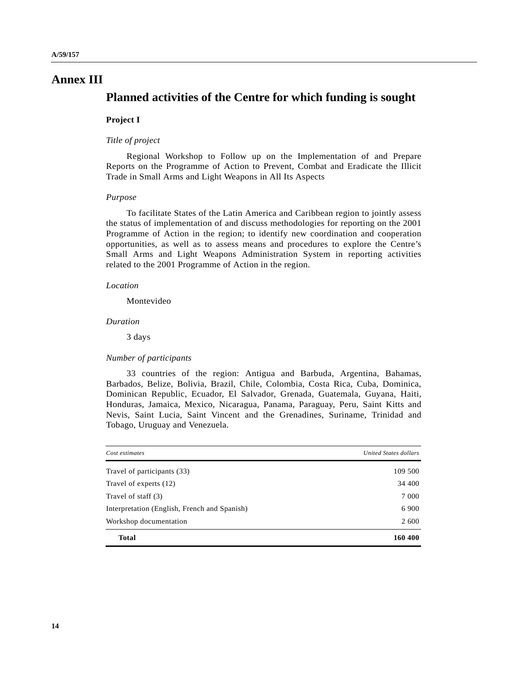# **Annex III**

# **Planned activities of the Centre for which funding is sought**

## **Project I**

### *Title of project*

Regional Workshop to Follow up on the Implementation of and Prepare Reports on the Programme of Action to Prevent, Combat and Eradicate the Illicit Trade in Small Arms and Light Weapons in All Its Aspects

### *Purpose*

To facilitate States of the Latin America and Caribbean region to jointly assess the status of implementation of and discuss methodologies for reporting on the 2001 Programme of Action in the region; to identify new coordination and cooperation opportunities, as well as to assess means and procedures to explore the Centre's Small Arms and Light Weapons Administration System in reporting activities related to the 2001 Programme of Action in the region.

#### *Location*

Montevideo

### *Duration*

3 days

### *Number of participants*

33 countries of the region: Antigua and Barbuda, Argentina, Bahamas, Barbados, Belize, Bolivia, Brazil, Chile, Colombia, Costa Rica, Cuba, Dominica, Dominican Republic, Ecuador, El Salvador, Grenada, Guatemala, Guyana, Haiti, Honduras, Jamaica, Mexico, Nicaragua, Panama, Paraguay, Peru, Saint Kitts and Nevis, Saint Lucia, Saint Vincent and the Grenadines, Suriname, Trinidad and Tobago, Uruguay and Venezuela.

| Cost estimates                               | United States dollars |
|----------------------------------------------|-----------------------|
| Travel of participants (33)                  | 109 500               |
| Travel of experts (12)                       | 34 400                |
| Travel of staff (3)                          | 7 0 0 0               |
| Interpretation (English, French and Spanish) | 6 9 0 0               |
| Workshop documentation                       | 2 600                 |
| <b>Total</b>                                 | 160 400               |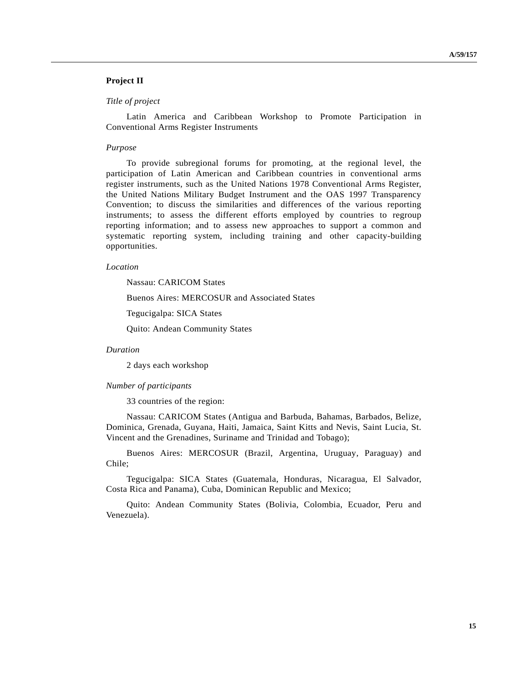## **Project II**

### *Title of project*

Latin America and Caribbean Workshop to Promote Participation in Conventional Arms Register Instruments

### *Purpose*

To provide subregional forums for promoting, at the regional level, the participation of Latin American and Caribbean countries in conventional arms register instruments, such as the United Nations 1978 Conventional Arms Register, the United Nations Military Budget Instrument and the OAS 1997 Transparency Convention; to discuss the similarities and differences of the various reporting instruments; to assess the different efforts employed by countries to regroup reporting information; and to assess new approaches to support a common and systematic reporting system, including training and other capacity-building opportunities.

### *Location*

Nassau: CARICOM States

Buenos Aires: MERCOSUR and Associated States

Tegucigalpa: SICA States

Quito: Andean Community States

### *Duration*

2 days each workshop

#### *Number of participants*

33 countries of the region:

Nassau: CARICOM States (Antigua and Barbuda, Bahamas, Barbados, Belize, Dominica, Grenada, Guyana, Haiti, Jamaica, Saint Kitts and Nevis, Saint Lucia, St. Vincent and the Grenadines, Suriname and Trinidad and Tobago);

Buenos Aires: MERCOSUR (Brazil, Argentina, Uruguay, Paraguay) and Chile;

Tegucigalpa: SICA States (Guatemala, Honduras, Nicaragua, El Salvador, Costa Rica and Panama), Cuba, Dominican Republic and Mexico;

Quito: Andean Community States (Bolivia, Colombia, Ecuador, Peru and Venezuela).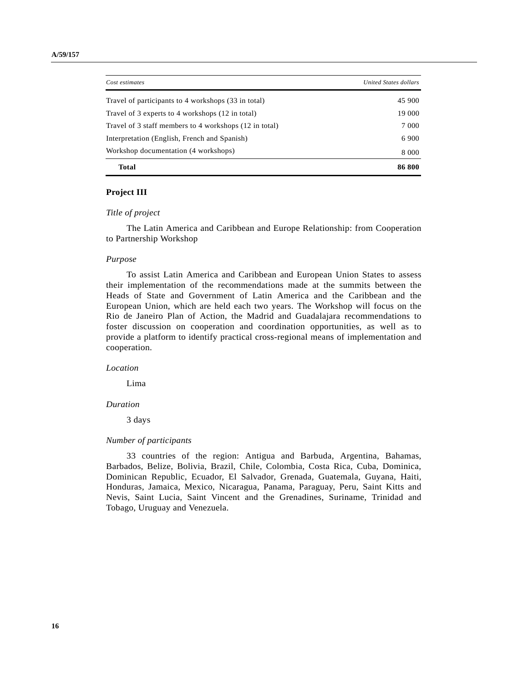| Cost estimates                                         | United States dollars |
|--------------------------------------------------------|-----------------------|
| Travel of participants to 4 workshops (33 in total)    | 45 900                |
| Travel of 3 experts to 4 workshops (12 in total)       | 19 000                |
| Travel of 3 staff members to 4 workshops (12 in total) | 7 0 0 0               |
| Interpretation (English, French and Spanish)           | 6 9 0 0               |
| Workshop documentation (4 workshops)                   | 8 0 0 0               |
| Total                                                  | 86 800                |

### **Project III**

#### *Title of project*

The Latin America and Caribbean and Europe Relationship: from Cooperation to Partnership Workshop

#### *Purpose*

To assist Latin America and Caribbean and European Union States to assess their implementation of the recommendations made at the summits between the Heads of State and Government of Latin America and the Caribbean and the European Union, which are held each two years. The Workshop will focus on the Rio de Janeiro Plan of Action, the Madrid and Guadalajara recommendations to foster discussion on cooperation and coordination opportunities, as well as to provide a platform to identify practical cross-regional means of implementation and cooperation.

#### *Location*

Lima

### *Duration*

3 days

### *Number of participants*

33 countries of the region: Antigua and Barbuda, Argentina, Bahamas, Barbados, Belize, Bolivia, Brazil, Chile, Colombia, Costa Rica, Cuba, Dominica, Dominican Republic, Ecuador, El Salvador, Grenada, Guatemala, Guyana, Haiti, Honduras, Jamaica, Mexico, Nicaragua, Panama, Paraguay, Peru, Saint Kitts and Nevis, Saint Lucia, Saint Vincent and the Grenadines, Suriname, Trinidad and Tobago, Uruguay and Venezuela.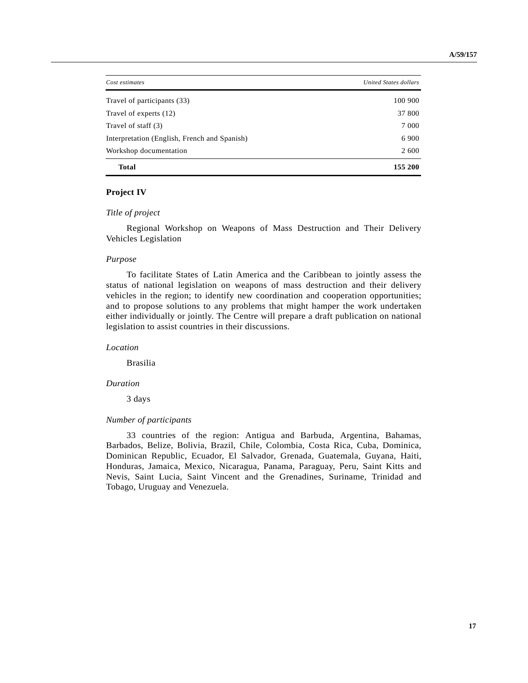| Cost estimates                               | United States dollars |
|----------------------------------------------|-----------------------|
| Travel of participants (33)                  | 100 900               |
| Travel of experts (12)                       | 37 800                |
| Travel of staff (3)                          | 7 0 0 0               |
| Interpretation (English, French and Spanish) | 6 9 0 0               |
| Workshop documentation                       | 2 600                 |
| Total                                        | 155 200               |

## **Project IV**

### *Title of project*

Regional Workshop on Weapons of Mass Destruction and Their Delivery Vehicles Legislation

#### *Purpose*

To facilitate States of Latin America and the Caribbean to jointly assess the status of national legislation on weapons of mass destruction and their delivery vehicles in the region; to identify new coordination and cooperation opportunities; and to propose solutions to any problems that might hamper the work undertaken either individually or jointly. The Centre will prepare a draft publication on national legislation to assist countries in their discussions.

*Location*

Brasilia

### *Duration*

3 days

#### *Number of participants*

33 countries of the region: Antigua and Barbuda, Argentina, Bahamas, Barbados, Belize, Bolivia, Brazil, Chile, Colombia, Costa Rica, Cuba, Dominica, Dominican Republic, Ecuador, El Salvador, Grenada, Guatemala, Guyana, Haiti, Honduras, Jamaica, Mexico, Nicaragua, Panama, Paraguay, Peru, Saint Kitts and Nevis, Saint Lucia, Saint Vincent and the Grenadines, Suriname, Trinidad and Tobago, Uruguay and Venezuela.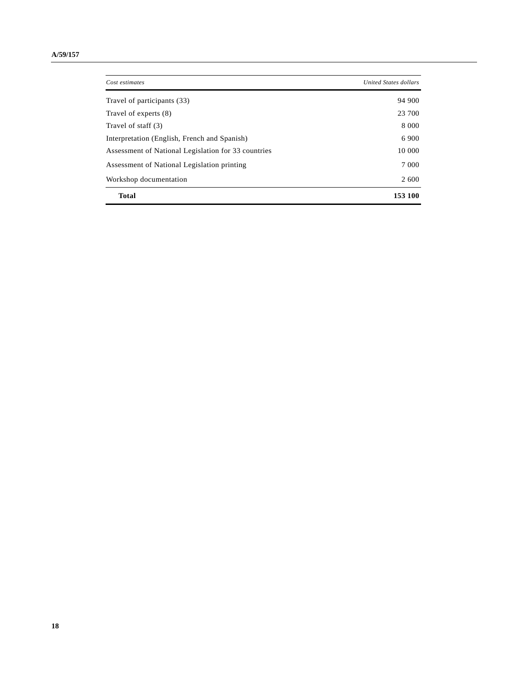| Cost estimates                                      | <b>United States dollars</b> |
|-----------------------------------------------------|------------------------------|
| Travel of participants (33)                         | 94 900                       |
| Travel of experts (8)                               | 23 700                       |
| Travel of staff (3)                                 | 8 0 0 0                      |
| Interpretation (English, French and Spanish)        | 6 9 0 0                      |
| Assessment of National Legislation for 33 countries | 10 000                       |
| Assessment of National Legislation printing         | 7 000                        |
| Workshop documentation                              | 2 600                        |
| <b>Total</b>                                        | 153 100                      |